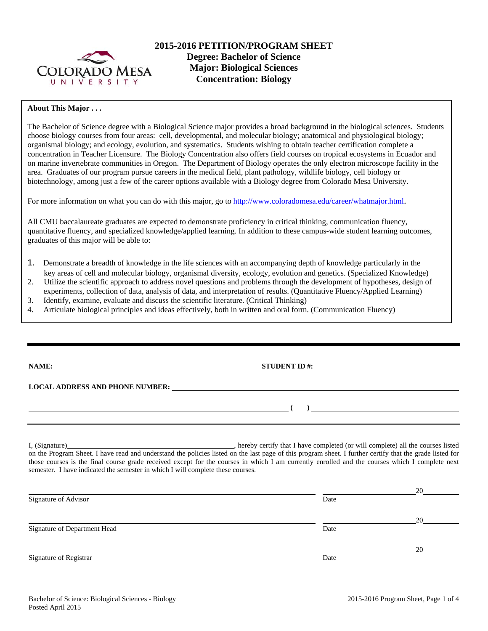

## **About This Major . . .**

The Bachelor of Science degree with a Biological Science major provides a broad background in the biological sciences. Students choose biology courses from four areas: cell, developmental, and molecular biology; anatomical and physiological biology; organismal biology; and ecology, evolution, and systematics. Students wishing to obtain teacher certification complete a concentration in Teacher Licensure. The Biology Concentration also offers field courses on tropical ecosystems in Ecuador and on marine invertebrate communities in Oregon. The Department of Biology operates the only electron microscope facility in the area. Graduates of our program pursue careers in the medical field, plant pathology, wildlife biology, cell biology or biotechnology, among just a few of the career options available with a Biology degree from Colorado Mesa University.

For more information on what you can do with this major, go to http://www.coloradomesa.edu/career/whatmajor.html.

All CMU baccalaureate graduates are expected to demonstrate proficiency in critical thinking, communication fluency, quantitative fluency, and specialized knowledge/applied learning. In addition to these campus-wide student learning outcomes, graduates of this major will be able to:

- 1. Demonstrate a breadth of knowledge in the life sciences with an accompanying depth of knowledge particularly in the key areas of cell and molecular biology, organismal diversity, ecology, evolution and genetics. (Specialized Knowledge)
- 2. Utilize the scientific approach to address novel questions and problems through the development of hypotheses, design of
- experiments, collection of data, analysis of data, and interpretation of results. (Quantitative Fluency/Applied Learning)
- 3. Identify, examine, evaluate and discuss the scientific literature. (Critical Thinking)
- 4. Articulate biological principles and ideas effectively, both in written and oral form. (Communication Fluency)

|  |  | ı |
|--|--|---|
|  |  |   |

**NAME: STUDENT ID #: STUDENT ID #: STUDENT ID #: STUDENT ID #: STUDENT ID #: STUDENT ID #: STUDENT ID #: STUDENT ID #: STUDENT ID #: STUDENT ID #: STUDENT ID #: STUDENT ID #: STUDENT ID #: STUDE LOCAL ADDRESS AND PHONE NUMBER: (** ) <u> **(** ) **d** ( ) **d** ( ) **d** ( ) **d** ( ) **d** ( ) **d** ( ) **d** ( ) **d** ( ) **d** ( ) **d** ( ) **d** ( ) **d** ( ) **d** ( ) **d** ( ) **d** ( ) **d** ( ) **d** ( ) **d** ( ) **d** ( ) **d** ( ) **d** ( ) **d** ( ) **d** ( ) **d** ( ) **d** ( ) **d** ( )</u>

I, (Signature) **Source 2020** (Signature) **, hereby certify that I have completed** (or will complete) all the courses listed on the Program Sheet. I have read and understand the policies listed on the last page of this program sheet. I further certify that the grade listed for those courses is the final course grade received except for the courses in which I am currently enrolled and the courses which I complete next semester. I have indicated the semester in which I will complete these courses.

|                              |      | 20 |
|------------------------------|------|----|
| Signature of Advisor         | Date |    |
|                              |      | 20 |
| Signature of Department Head | Date |    |
|                              |      | 20 |
| Signature of Registrar       | Date |    |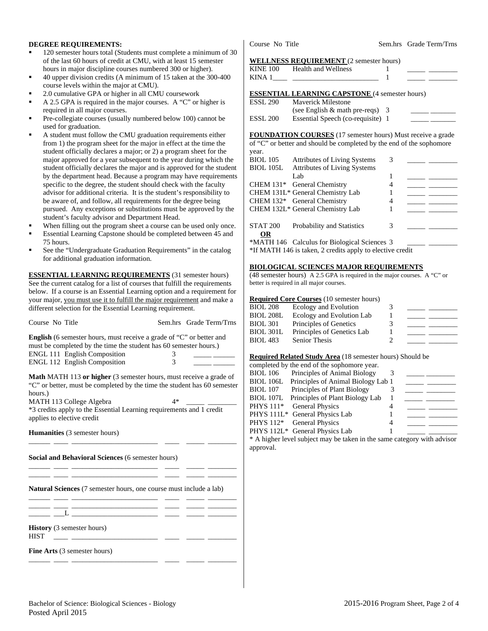## **DEGREE REQUIREMENTS:**

- 120 semester hours total (Students must complete a minimum of 30 of the last 60 hours of credit at CMU, with at least 15 semester hours in major discipline courses numbered 300 or higher).
- 40 upper division credits (A minimum of 15 taken at the 300-400 course levels within the major at CMU).
- 2.0 cumulative GPA or higher in all CMU coursework
- A 2.5 GPA is required in the major courses. A "C" or higher is required in all major courses.
- Pre-collegiate courses (usually numbered below 100) cannot be used for graduation.
- A student must follow the CMU graduation requirements either from 1) the program sheet for the major in effect at the time the student officially declares a major; or 2) a program sheet for the major approved for a year subsequent to the year during which the student officially declares the major and is approved for the student by the department head. Because a program may have requirements specific to the degree, the student should check with the faculty advisor for additional criteria. It is the student's responsibility to be aware of, and follow, all requirements for the degree being pursued. Any exceptions or substitutions must be approved by the student's faculty advisor and Department Head.
- When filling out the program sheet a course can be used only once.
- Essential Learning Capstone should be completed between 45 and 75 hours.
- See the "Undergraduate Graduation Requirements" in the catalog for additional graduation information.

**ESSENTIAL LEARNING REQUIREMENTS** (31 semester hours) See the current catalog for a list of courses that fulfill the requirements below. If a course is an Essential Learning option and a requirement for your major, you must use it to fulfill the major requirement and make a different selection for the Essential Learning requirement.

| Course No Title                                                                                                                                                                                                                                                                                          |   | Sem.hrs Grade Term/Trns |  |  |  |  |
|----------------------------------------------------------------------------------------------------------------------------------------------------------------------------------------------------------------------------------------------------------------------------------------------------------|---|-------------------------|--|--|--|--|
| <b>English</b> (6 semester hours, must receive a grade of "C" or better and<br>must be completed by the time the student has 60 semester hours.)<br><b>ENGL 111 English Composition</b><br>ENGL 112 English Composition                                                                                  | 3 |                         |  |  |  |  |
| <b>Math MATH 113 or higher</b> (3 semester hours, must receive a grade of<br>"C" or better, must be completed by the time the student has 60 semester<br>hours.)<br>MATH 113 College Algebra<br>4*<br>*3 credits apply to the Essential Learning requirements and 1 credit<br>applies to elective credit |   |                         |  |  |  |  |
| <b>Humanities</b> (3 semester hours)                                                                                                                                                                                                                                                                     |   |                         |  |  |  |  |
| Social and Behavioral Sciences (6 semester hours)                                                                                                                                                                                                                                                        |   |                         |  |  |  |  |
| the control of the control of the control of the<br><b>Natural Sciences</b> (7 semester hours, one course must include a lab)                                                                                                                                                                            |   |                         |  |  |  |  |
| <u> 1980 - Jan Barbara Barbara, manazarta bash</u>                                                                                                                                                                                                                                                       |   |                         |  |  |  |  |

**History** (3 semester hours)

HIST \_\_\_\_ \_\_\_\_\_\_\_\_\_\_\_\_\_\_\_\_\_\_\_\_\_\_\_\_ \_\_\_\_ \_\_\_\_\_ \_\_\_\_\_\_\_\_

**Fine Arts** (3 semester hours) \_\_\_\_\_\_ \_\_\_\_ \_\_\_\_\_\_\_\_\_\_\_\_\_\_\_\_\_\_\_\_\_\_\_\_ \_\_\_\_ \_\_\_\_\_ \_\_\_\_\_\_\_\_

Course No Title Sem.hrs Grade Term/Trns

### **WELLNESS REQUIREMENT** (2 semester hours)

| KINE 100<br>KINA 1 | Health and Wellness                                                                  |  |  |
|--------------------|--------------------------------------------------------------------------------------|--|--|
|                    | <b>ESSENTIAL LEARNING CAPSTONE</b> (4 semester hours)<br>ESSI 200 Mayerick Milestone |  |  |

| ESSL 290 | <b>Maverick Milestone</b>          |  |
|----------|------------------------------------|--|
|          | (see English $\&$ math pre-reqs) 3 |  |
| ESSL 200 | Essential Speech (co-requisite) 1  |  |

**FOUNDATION COURSES** (17 semester hours) Must receive a grade of "C" or better and should be completed by the end of the sophomore year.

| <b>BIOL 105</b>  | <b>Attributes of Living Systems</b>                       | 3 |  |
|------------------|-----------------------------------------------------------|---|--|
| <b>BIOL 105L</b> | <b>Attributes of Living Systems</b>                       |   |  |
|                  | Lab                                                       |   |  |
|                  | CHEM 131* General Chemistry                               | 4 |  |
|                  | CHEM 131L* General Chemistry Lab                          |   |  |
|                  | CHEM 132* General Chemistry                               | 4 |  |
|                  | CHEM 132L* General Chemistry Lab                          |   |  |
| STAT 200         | Probability and Statistics                                | 3 |  |
| <b>OR</b>        |                                                           |   |  |
|                  | *MATH 146 Calculus for Biological Sciences 3              |   |  |
|                  | *If MATH 146 is taken, 2 credits apply to elective credit |   |  |

## **BIOLOGICAL SCIENCES MAJOR REQUIREMENTS**

(48 semester hours) A 2.5 GPA is required in the major courses. A "C" or better is required in all major courses.

### **Required Core Courses** (10 semester hours)

| <b>BIOL 208</b>  | Ecology and Evolution      |   |  |
|------------------|----------------------------|---|--|
| <b>BIOL 208L</b> | Ecology and Evolution Lab  |   |  |
| BIOL 301         | Principles of Genetics     | 3 |  |
| <b>BIOL 301L</b> | Principles of Genetics Lab |   |  |
| BIOL 483         | Senior Thesis              |   |  |

## **Required Related Study Area** (18 semester hours) Should be

|                  | completed by the end of the sophomore year. |   |               |  |
|------------------|---------------------------------------------|---|---------------|--|
| <b>BIOL 106</b>  | Principles of Animal Biology                |   |               |  |
| BIOL 106L        | Principles of Animal Biology Lab 1          |   |               |  |
| <b>BIOL</b> 107  | Principles of Plant Biology                 |   |               |  |
| <b>BIOL 107L</b> | Principles of Plant Biology Lab             |   |               |  |
| <b>PHYS</b> 111* | <b>General Physics</b>                      |   |               |  |
|                  | PHYS 111L* General Physics Lab              |   |               |  |
|                  | PHYS 112* General Physics                   | 4 |               |  |
|                  | PHYS 112L* General Physics Lab              |   |               |  |
|                  |                                             |   | $\sim$ $\sim$ |  |

\* A higher level subject may be taken in the same category with advisor approval.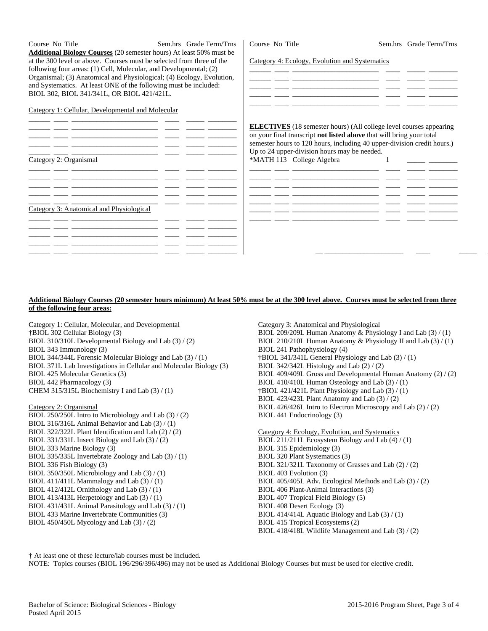Course No Title Sem.hrs Grade Term/Trns **Additional Biology Courses** (20 semester hours) At least 50% must be at the 300 level or above. Courses must be selected from three of the following four areas: (1) Cell, Molecular, and Developmental; (2) Organismal; (3) Anatomical and Physiological; (4) Ecology, Evolution, and Systematics. At least ONE of the following must be included: BIOL 302, BIOL 341/341L, OR BIOL 421/421L.

### Category 1: Cellular, Developmental and Molecular

|                                          | <b>ELECTIVES</b> (18 semester hours) (All college level courses appearing<br>on your final transcript not listed above that will bring your total<br>semester hours to 120 hours, including 40 upper-division credit hours.)<br>Up to 24 upper-division hours may be needed. |
|------------------------------------------|------------------------------------------------------------------------------------------------------------------------------------------------------------------------------------------------------------------------------------------------------------------------------|
| Category 2: Organismal                   | *MATH 113 College Algebra                                                                                                                                                                                                                                                    |
|                                          |                                                                                                                                                                                                                                                                              |
|                                          |                                                                                                                                                                                                                                                                              |
| Category 3: Anatomical and Physiological |                                                                                                                                                                                                                                                                              |
|                                          |                                                                                                                                                                                                                                                                              |
|                                          |                                                                                                                                                                                                                                                                              |
|                                          |                                                                                                                                                                                                                                                                              |

Course No Title Sem.hrs Grade Term/Trns

Category 4: Ecology, Evolution and Systematics

## **Additional Biology Courses (20 semester hours minimum) At least 50% must be at the 300 level above. Courses must be selected from three of the following four areas:**

Category 1: Cellular, Molecular, and Developmental †BIOL 302 Cellular Biology (3) BIOL 310/310L Developmental Biology and Lab (3) / (2) BIOL 343 Immunology (3) BIOL 344/344L Forensic Molecular Biology and Lab (3) / (1) BIOL 371L Lab Investigations in Cellular and Molecular Biology (3) BIOL 425 Molecular Genetics (3) BIOL 442 Pharmacology (3) CHEM 315/315L Biochemistry I and Lab (3) / (1)

#### Category 2: Organismal

BIOL 250/250L Intro to Microbiology and Lab (3) / (2) BIOL 316/316L Animal Behavior and Lab (3) / (1) BIOL 322/322L Plant Identification and Lab (2) / (2) BIOL 331/331L Insect Biology and Lab (3) / (2) BIOL 333 Marine Biology (3) BIOL 335/335L Invertebrate Zoology and Lab (3) / (1) BIOL 336 Fish Biology (3) BIOL 350/350L Microbiology and Lab (3) / (1) BIOL 411/411L Mammalogy and Lab  $(3) / (1)$ BIOL 412/412L Ornithology and Lab (3) / (1) BIOL 413/413L Herpetology and Lab (3) / (1) BIOL 431/431L Animal Parasitology and Lab (3) / (1) BIOL 433 Marine Invertebrate Communities (3) BIOL 450/450L Mycology and Lab (3) / (2)

Category 3: Anatomical and Physiological BIOL 209/209L Human Anatomy & Physiology I and Lab (3) / (1) BIOL 210/210L Human Anatomy & Physiology II and Lab (3) / (1) BIOL 241 Pathophysiology (4) †BIOL 341/341L General Physiology and Lab (3) / (1) BIOL 342/342L Histology and Lab (2) / (2) BIOL 409/409L Gross and Developmental Human Anatomy (2) / (2) BIOL 410/410L Human Osteology and Lab (3) / (1) †BIOL 421/421L Plant Physiology and Lab (3) / (1) BIOL 423/423L Plant Anatomy and Lab (3) / (2) BIOL 426/426L Intro to Electron Microscopy and Lab (2) / (2) BIOL 441 Endocrinology (3) Category 4: Ecology, Evolution, and Systematics BIOL 211/211L Ecosystem Biology and Lab (4) / (1) BIOL 315 Epidemiology (3)

BIOL 320 Plant Systematics (3) BIOL 321/321L Taxonomy of Grasses and Lab (2) / (2) BIOL 403 Evolution (3) BIOL 405/405L Adv. Ecological Methods and Lab (3) / (2) BIOL 406 Plant-Animal Interactions (3) BIOL 407 Tropical Field Biology (5) BIOL 408 Desert Ecology (3) BIOL 414/414L Aquatic Biology and Lab (3) / (1) BIOL 415 Tropical Ecosystems (2) BIOL 418/418L Wildlife Management and Lab (3) / (2)

† At least one of these lecture/lab courses must be included.

NOTE: Topics courses (BIOL 196/296/396/496) may not be used as Additional Biology Courses but must be used for elective credit.